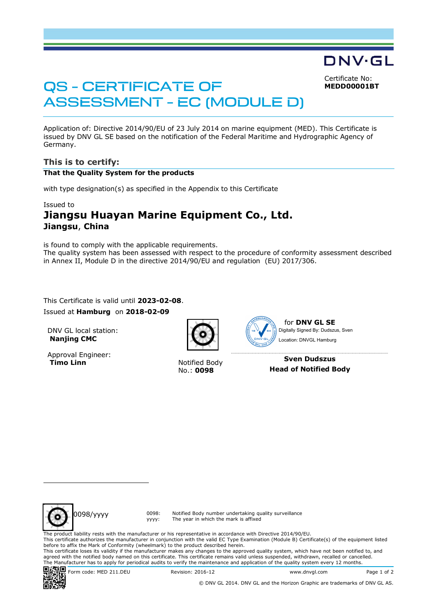Certificate No: **MEDD00001BT**

DNV·GL

# QS - CERTIFICATE OF ASSESSMENT - EC (MODULE D)

Application of: Directive 2014/90/EU of 23 July 2014 on marine equipment (MED). This Certificate is issued by DNV GL SE based on the notification of the Federal Maritime and Hydrographic Agency of Germany.

## **This is to certify:**

#### **That the Quality System for the products**

with type designation(s) as specified in the Appendix to this Certificate

#### Issued to

# **Jiangsu Huayan Marine Equipment Co., Ltd. Jiangsu**, **China**

is found to comply with the applicable requirements. The quality system has been assessed with respect to the procedure of conformity assessment described in Annex II, Module D in the directive 2014/90/EU and regulation (EU) 2017/306.

This Certificate is valid until **2023-02-08**. Issued at **Hamburg** on **2018-02-09**

DNV GL local station: **Nanjing CMC**

Approval Engineer: **Timo Linn Notified Body** 

No.: **0098**



Location: DNVGL Hamburg

**Sven Dudszus Head of Notified Body**



yyyy:

Notified Body number undertaking quality surveillance The year in which the mark is affixed

The product liability rests with the manufacturer or his representative in accordance with Directive 2014/90/EU.

This certificate authorizes the manufacturer in conjunction with the valid EC Type Examination (Module B) Certificate(s) of the equipment listed before to affix the Mark of Conformity (wheelmark) to the product described herein.

This certificate loses its validity if the manufacturer makes any changes to the approved quality system, which have not been notified to, and agreed with the notified body named on this certificate. This certificate remains valid unless suspended, withdrawn, recalled or cancelled. The Manufacturer has to apply for periodical audits to verify the maintenance and application of the quality system every 12 months.<br> $\Box$ 



Form code: MED 211.DEU Revision: 2016-12 www.dnvgl.com Page 1 of 2

© DNV GL 2014. DNV GL and the Horizon Graphic are trademarks of DNV GL AS.